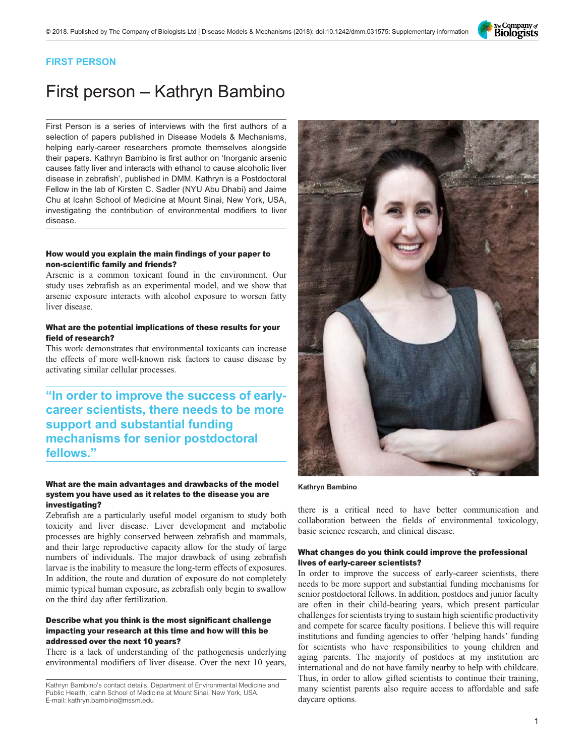

### FIRST PERSON

# First person – Kathryn Bambino

First Person is a series of interviews with the first authors of a selection of papers published in Disease Models & Mechanisms, helping early-career researchers promote themselves alongside their papers. Kathryn Bambino is first author on '[Inorganic arsenic](#page-1-0) [causes fatty liver and interacts with ethanol to cause alcoholic liver](#page-1-0) [disease in zebrafish](#page-1-0)', published in DMM. Kathryn is a Postdoctoral Fellow in the lab of Kirsten C. Sadler (NYU Abu Dhabi) and Jaime Chu at Icahn School of Medicine at Mount Sinai, New York, USA, investigating the contribution of environmental modifiers to liver disease.

#### How would you explain the main findings of your paper to non-scientific family and friends?

Arsenic is a common toxicant found in the environment. Our study uses zebrafish as an experimental model, and we show that arsenic exposure interacts with alcohol exposure to worsen fatty liver disease.

#### What are the potential implications of these results for your field of research?

This work demonstrates that environmental toxicants can increase the effects of more well-known risk factors to cause disease by activating similar cellular processes.

## "In order to improve the success of earlycareer scientists, there needs to be more support and substantial funding mechanisms for senior postdoctoral fellows."

#### What are the main advantages and drawbacks of the model system you have used as it relates to the disease you are investigating?

Zebrafish are a particularly useful model organism to study both toxicity and liver disease. Liver development and metabolic processes are highly conserved between zebrafish and mammals, and their large reproductive capacity allow for the study of large numbers of individuals. The major drawback of using zebrafish larvae is the inability to measure the long-term effects of exposures. In addition, the route and duration of exposure do not completely mimic typical human exposure, as zebrafish only begin to swallow on the third day after fertilization.

#### Describe what you think is the most significant challenge impacting your research at this time and how will this be addressed over the next 10 years?

There is a lack of understanding of the pathogenesis underlying environmental modifiers of liver disease. Over the next 10 years,



#### Kathryn Bambino

there is a critical need to have better communication and collaboration between the fields of environmental toxicology, basic science research, and clinical disease.

#### What changes do you think could improve the professional lives of early-career scientists?

In order to improve the success of early-career scientists, there needs to be more support and substantial funding mechanisms for senior postdoctoral fellows. In addition, postdocs and junior faculty are often in their child-bearing years, which present particular challenges for scientists trying to sustain high scientific productivity and compete for scarce faculty positions. I believe this will require institutions and funding agencies to offer 'helping hands' funding for scientists who have responsibilities to young children and aging parents. The majority of postdocs at my institution are international and do not have family nearby to help with childcare. Thus, in order to allow gifted scientists to continue their training, many scientist parents also require access to affordable and safe daycare options.

Kathryn Bambino's contact details: Department of Environmental Medicine and Public Health, Icahn School of Medicine at Mount Sinai, New York, USA. E-mail: [kathryn.bambino@mssm.edu](mailto:kathryn.bambino@mssm.edu)